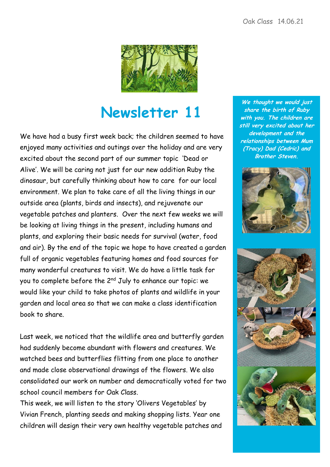

## **Newsletter 11**

We have had a busy first week back; the children seemed to have enjoyed many activities and outings over the holiday and are very excited about the second part of our summer topic 'Dead or Alive'. We will be caring not just for our new addition Ruby the dinosaur, but carefully thinking about how to care for our local environment. We plan to take care of all the living things in our outside area (plants, birds and insects), and rejuvenate our vegetable patches and planters. Over the next few weeks we will be looking at living things in the present, including humans and plants, and exploring their basic needs for survival (water, food and air). By the end of the topic we hope to have created a garden full of organic vegetables featuring homes and food sources for many wonderful creatures to visit. We do have a little task for you to complete before the 2<sup>nd</sup> July to enhance our topic: we would like your child to take photos of plants and wildlife in your garden and local area so that we can make a class identification book to share.

Last week, we noticed that the wildlife area and butterfly garden had suddenly become abundant with flowers and creatures. We watched bees and butterflies flitting from one place to another and made close observational drawings of the flowers. We also consolidated our work on number and democratically voted for two school council members for Oak Class.

This week, we will listen to the story 'Olivers Vegetables' by Vivian French, planting seeds and making shopping lists. Year one children will design their very own healthy vegetable patches and

**We thought we would just share the birth of Ruby with you. The children are still very excited about her development and the relationships between Mum (Tracy) Dad (Cedric) and Brother Steven.**